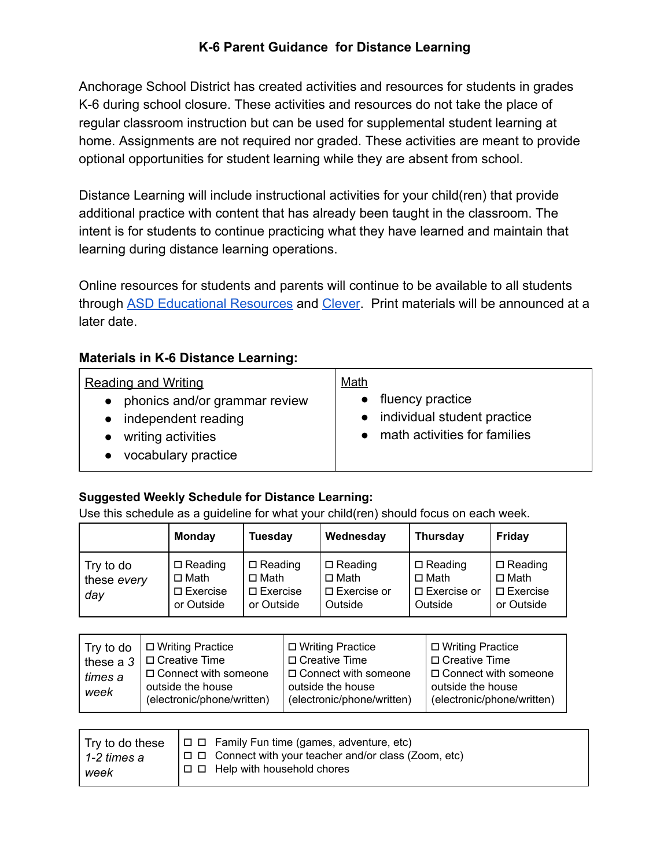# **K-6 Parent Guidance for Distance Learning**

Anchorage School District has created activities and resources for students in grades K-6 during school closure. These activities and resources do not take the place of regular classroom instruction but can be used for supplemental student learning at home. Assignments are not required nor graded. These activities are meant to provide optional opportunities for student learning while they are absent from school.

Distance Learning will include instructional activities for your child(ren) that provide additional practice with content that has already been taught in the classroom. The intent is for students to continue practicing what they have learned and maintain that learning during distance learning operations.

Online resources for students and parents will continue to be available to all students through [ASD Educational Resources](https://www.asdk12.org/Page/15109) and [Clever](https://clever.com/in/asd). Print materials will be announced at a later date.

### **Materials in K-6 Distance Learning:**

#### **Suggested Weekly Schedule for Distance Learning:**

Use this schedule as a guideline for what your child(ren) should focus on each week.

|                                 | <b>Monday</b>                                                     | <b>Tuesday</b>                                                    | Wednesday                                                         | <b>Thursday</b>                                                   | <b>Friday</b>                                                     |
|---------------------------------|-------------------------------------------------------------------|-------------------------------------------------------------------|-------------------------------------------------------------------|-------------------------------------------------------------------|-------------------------------------------------------------------|
| Try to do<br>these every<br>day | $\Box$ Reading<br>$\Box$ Math<br>$\square$ Exercise<br>or Outside | $\Box$ Reading<br>$\Box$ Math<br>$\square$ Exercise<br>or Outside | $\Box$ Reading<br>$\Box$ Math<br>$\square$ Exercise or<br>Outside | $\Box$ Reading<br>$\Box$ Math<br>$\square$ Exercise or<br>Outside | $\Box$ Reading<br>$\Box$ Math<br>$\square$ Exercise<br>or Outside |

| these a 3<br>times a<br>week | Try to do $\Box$ Writing Practice<br>$\Box$ Creative Time<br>$\Box$ Connect with someone<br>outside the house<br>(electronic/phone/written) | □ Writing Practice<br>□ Creative Time<br>□ Connect with someone<br>outside the house<br>(electronic/phone/written) | □ Writing Practice<br>$\Box$ Creative Time<br>$\Box$ Connect with someone<br>outside the house<br>(electronic/phone/written) |
|------------------------------|---------------------------------------------------------------------------------------------------------------------------------------------|--------------------------------------------------------------------------------------------------------------------|------------------------------------------------------------------------------------------------------------------------------|
|------------------------------|---------------------------------------------------------------------------------------------------------------------------------------------|--------------------------------------------------------------------------------------------------------------------|------------------------------------------------------------------------------------------------------------------------------|

| 1-2 times a<br>week | $\top$ ry to do these $\top$ $\Box$ $\Box$ Family Fun time (games, adventure, etc)<br>$ \square \square$ Connect with your teacher and/or class (Zoom, etc)<br>$ \square$ $\square$ Help with household chores |
|---------------------|----------------------------------------------------------------------------------------------------------------------------------------------------------------------------------------------------------------|
|---------------------|----------------------------------------------------------------------------------------------------------------------------------------------------------------------------------------------------------------|